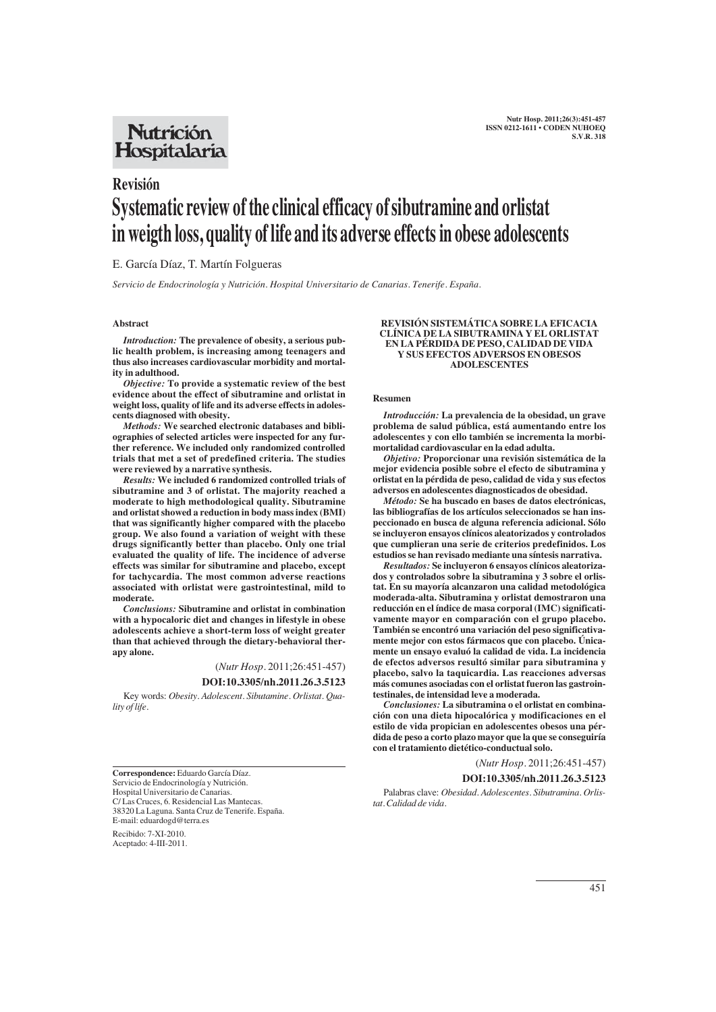## **Nutrición** Hospitalaria

# **Revisión Systematic review of the clinical efficacy of sibutramine and orlistat in weigth loss, quality of life and its adverse effects in obese adolescents**

## E. García Díaz, T. Martín Folgueras

*Servicio de Endocrinología y Nutrición. Hospital Universitario de Canarias. Tenerife. España.*

#### **Abstract**

*Introduction:* **The prevalence of obesity, a serious public health problem, is increasing among teenagers and thus also increases cardiovascular morbidity and mortality in adulthood.** 

*Objective:* **To provide a systematic review of the best evidence about the effect of sibutramine and orlistat in weight loss, quality of life and its adverse effects in adolescents diagnosed with obesity.** 

*Methods:* **We searched electronic databases and bibliographies of selected articles were inspected for any further reference. We included only randomized controlled trials that met a set of predefined criteria. The studies were reviewed by a narrative synthesis.** 

*Results:* **We included 6 randomized controlled trials of sibutramine and 3 of orlistat. The majority reached a moderate to high methodological quality. Sibutramine and orlistat showed a reduction in body mass index (BMI) that was significantly higher compared with the placebo group. We also found a variation of weight with these drugs significantly better than placebo. Only one trial evaluated the quality of life. The incidence of adverse effects was similar for sibutramine and placebo, except for tachycardia. The most common adverse reactions associated with orlistat were gastrointestinal, mild to moderate.** 

*Conclusions:* **Sibutramine and orlistat in combination with a hypocaloric diet and changes in lifestyle in obese adolescents achieve a short-term loss of weight greater than that achieved through the dietary-behavioral therapy alone.**

(*Nutr Hosp.* 2011;26:451-457)

## **DOI:10.3305/nh.2011.26.3.5123**

Key words: *Obesity. Adolescent. Sibutamine. Orlistat. Quality of life.*

**Correspondence:** Eduardo García Díaz. Servicio de Endocrinología y Nutrición. Hospital Universitario de Canarias. C/ Las Cruces, 6. Residencial Las Mantecas. 38320 La Laguna. Santa Cruz de Tenerife. España. E-mail: eduardogd@terra.es

Recibido: 7-XI-2010. Aceptado: 4-III-2011.

#### **REVISIÓN SISTEMÁTICA SOBRE LA EFICACIA CLÍNICA DE LA SIBUTRAMINA Y EL ORLISTAT EN LA PÉRDIDA DE PESO, CALIDAD DE VIDA Y SUS EFECTOS ADVERSOS EN OBESOS ADOLESCENTES**

#### **Resumen**

*Introducción:* **La prevalencia de la obesidad, un grave problema de salud pública, está aumentando entre los adolescentes y con ello también se incrementa la morbimortalidad cardiovascular en la edad adulta.**

*Objetivo:* **Proporcionar una revisión sistemática de la mejor evidencia posible sobre el efecto de sibutramina y orlistat en la pérdida de peso, calidad de vida y sus efectos adversos en adolescentes diagnosticados de obesidad.** 

*Método:* **Se ha buscado en bases de datos electrónicas, las bibliografías de los artículos seleccionados se han inspeccionado en busca de alguna referencia adicional. Sólo se incluyeron ensayos clínicos aleatorizados y controlados que cumplieran una serie de criterios predefinidos. Los estudios se han revisado mediante una síntesis narrativa.**

*Resultados:* **Se incluyeron 6 ensayos clínicos aleatorizados y controlados sobre la sibutramina y 3 sobre el orlistat. En su mayoría alcanzaron una calidad metodológica moderada-alta. Sibutramina y orlistat demostraron una reducción en el índice de masa corporal (IMC) significativamente mayor en comparación con el grupo placebo. También se encontró una variación del peso significativamente mejor con estos fármacos que con placebo. Únicamente un ensayo evaluó la calidad de vida. La incidencia de efectos adversos resultó similar para sibutramina y placebo, salvo la taquicardia. Las reacciones adversas más comunes asociadas con el orlistat fueron las gastrointestinales, de intensidad leve a moderada.**

*Conclusiones:* **La sibutramina o el orlistat en combinación con una dieta hipocalórica y modificaciones en el estilo de vida propician en adolescentes obesos una pérdida de peso a corto plazo mayor que la que se conseguiría con el tratamiento dietético-conductual solo.**

(*Nutr Hosp.* 2011;26:451-457)

#### **DOI:10.3305/nh.2011.26.3.5123**

Palabras clave: *Obesidad. Adolescentes. Sibutramina. Orlistat. Calidad de vida.*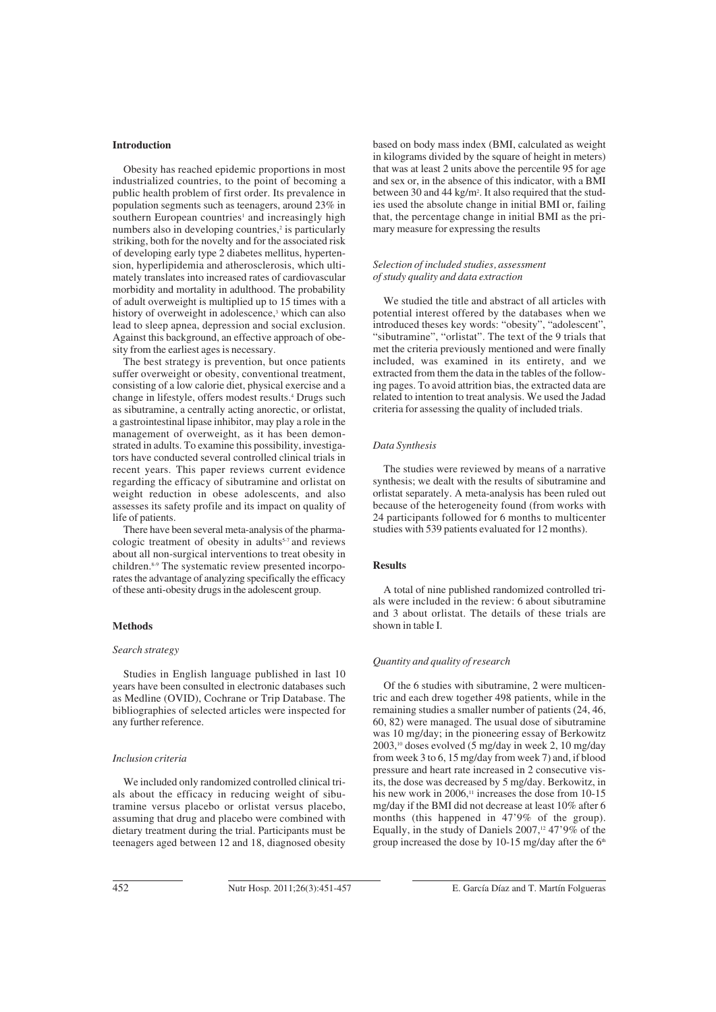#### **Introduction**

Obesity has reached epidemic proportions in most industrialized countries, to the point of becoming a public health problem of first order. Its prevalence in population segments such as teenagers, around 23% in southern European countries<sup>1</sup> and increasingly high numbers also in developing countries, $2$  is particularly striking, both for the novelty and for the associated risk of developing early type 2 diabetes mellitus, hypertension, hyperlipidemia and atherosclerosis, which ultimately translates into increased rates of cardiovascular morbidity and mortality in adulthood. The probability of adult overweight is multiplied up to 15 times with a history of overweight in adolescence,<sup>3</sup> which can also lead to sleep apnea, depression and social exclusion. Against this background, an effective approach of obesity from the earliest ages is necessary.

The best strategy is prevention, but once patients suffer overweight or obesity, conventional treatment, consisting of a low calorie diet, physical exercise and a change in lifestyle, offers modest results.4 Drugs such as sibutramine, a centrally acting anorectic, or orlistat, a gastrointestinal lipase inhibitor, may play a role in the management of overweight, as it has been demonstrated in adults. To examine this possibility, investigators have conducted several controlled clinical trials in recent years. This paper reviews current evidence regarding the efficacy of sibutramine and orlistat on weight reduction in obese adolescents, and also assesses its safety profile and its impact on quality of life of patients.

There have been several meta-analysis of the pharmacologic treatment of obesity in adults<sup>5-7</sup> and reviews about all non-surgical interventions to treat obesity in children.8-9 The systematic review presented incorporates the advantage of analyzing specifically the efficacy of these anti-obesity drugs in the adolescent group.

### **Methods**

#### *Search strategy*

Studies in English language published in last 10 years have been consulted in electronic databases such as Medline (OVID), Cochrane or Trip Database. The bibliographies of selected articles were inspected for any further reference.

#### *Inclusion criteria*

We included only randomized controlled clinical trials about the efficacy in reducing weight of sibutramine versus placebo or orlistat versus placebo, assuming that drug and placebo were combined with dietary treatment during the trial. Participants must be teenagers aged between 12 and 18, diagnosed obesity based on body mass index (BMI, calculated as weight in kilograms divided by the square of height in meters) that was at least 2 units above the percentile 95 for age and sex or, in the absence of this indicator, with a BMI between 30 and 44 kg/m<sup>2</sup>. It also required that the studies used the absolute change in initial BMI or, failing that, the percentage change in initial BMI as the primary measure for expressing the results

#### *Selection of included studies, assessment of study quality and data extraction*

We studied the title and abstract of all articles with potential interest offered by the databases when we introduced theses key words: "obesity", "adolescent", "sibutramine", "orlistat". The text of the 9 trials that met the criteria previously mentioned and were finally included, was examined in its entirety, and we extracted from them the data in the tables of the following pages. To avoid attrition bias, the extracted data are related to intention to treat analysis. We used the Jadad criteria for assessing the quality of included trials.

#### *Data Synthesis*

The studies were reviewed by means of a narrative synthesis; we dealt with the results of sibutramine and orlistat separately. A meta-analysis has been ruled out because of the heterogeneity found (from works with 24 participants followed for 6 months to multicenter studies with 539 patients evaluated for 12 months).

#### **Results**

A total of nine published randomized controlled trials were included in the review: 6 about sibutramine and 3 about orlistat. The details of these trials are shown in table I.

#### *Quantity and quality of research*

Of the 6 studies with sibutramine, 2 were multicentric and each drew together 498 patients, while in the remaining studies a smaller number of patients (24, 46, 60, 82) were managed. The usual dose of sibutramine was 10 mg/day; in the pioneering essay of Berkowitz  $2003$ ,<sup>10</sup> doses evolved (5 mg/day in week 2, 10 mg/day from week 3 to 6, 15 mg/day from week 7) and, if blood pressure and heart rate increased in 2 consecutive visits, the dose was decreased by 5 mg/day. Berkowitz, in his new work in 2006, $\frac{11}{10}$  increases the dose from 10-15 mg/day if the BMI did not decrease at least 10% after 6 months (this happened in 47'9% of the group). Equally, in the study of Daniels  $2007$ ,<sup>12</sup> 47'9% of the group increased the dose by 10-15 mg/day after the  $6<sup>th</sup>$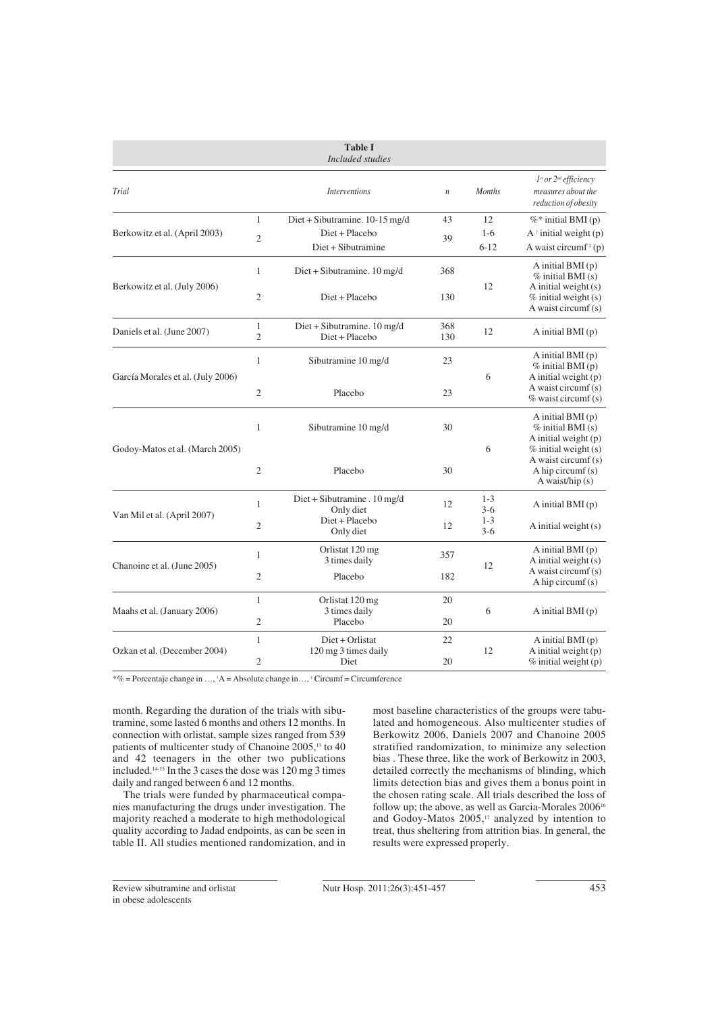|                                   |                                | <b>Table I</b><br>Included studies            |                  |                  |                                                                                                                      |
|-----------------------------------|--------------------------------|-----------------------------------------------|------------------|------------------|----------------------------------------------------------------------------------------------------------------------|
| Trial                             |                                | <i>Interventions</i>                          | $\boldsymbol{n}$ | <b>Months</b>    | 1st or 2 <sup>nd</sup> efficiency<br>measures about the<br>reduction of obesity                                      |
|                                   | 1                              | Diet + Sibutramine. $10-15$ mg/d              | 43               | 12               | $%$ * initial BMI $(p)$                                                                                              |
| Berkowitz et al. (April 2003)     | $\mathfrak{2}$                 | Diet + Placebo                                | 39               | $1-6$            | A $\dagger$ initial weight (p)                                                                                       |
|                                   |                                | Diet + Sibutramine                            |                  | $6 - 12$         | A waist circumf <sup>#</sup> (p)                                                                                     |
| Berkowitz et al. (July 2006)      | $\mathbf{1}$<br>$\overline{2}$ | Diet + Sibutramine. 10 mg/d<br>Diet + Placebo | 368<br>130       | 12               | A initial $BMI(p)$<br>$%$ initial BMI $(s)$<br>A initial weight (s)<br>$%$ initial weight (s)<br>A waist circumf (s) |
| Daniels et al. (June 2007)        | $\mathbf{1}$<br>$\overline{c}$ | Diet + Sibutramine. 10 mg/d<br>Diet + Placebo | 368<br>130       | 12               | A initial BMI (p)                                                                                                    |
| García Morales et al. (July 2006) | $\mathbf{1}$                   | Sibutramine 10 mg/d                           | 23               | 6                | A initial $BMI(p)$<br>$%$ initial BMI (p)<br>A initial weight $(p)$<br>A waist circumf (s)                           |
|                                   | $\mathfrak{2}$                 | Placebo                                       | 23               |                  | $%$ waist circumf $(s)$                                                                                              |
| Godoy-Matos et al. (March 2005)   | $\mathbf{1}$                   | Sibutramine 10 mg/d                           | 30               | 6                | A initial BMI (p)<br>$%$ initial BMI(s)<br>A initial weight $(p)$<br>$%$ initial weight $(s)$                        |
|                                   | $\mathfrak{2}$                 | Placebo                                       | 30               |                  | A waist circumf (s)<br>A hip circumf $(s)$<br>A waist/hip $(s)$                                                      |
| Van Mil et al. (April 2007)       | 1                              | Diet + Sibutramine . 10 mg/d<br>Only diet     | 12               | $1 - 3$<br>$3-6$ | A initial $BMI(p)$                                                                                                   |
|                                   | $\mathfrak{2}$                 | Diet + Placebo<br>Only diet                   | 12               | $1 - 3$<br>$3-6$ | A initial weight (s)                                                                                                 |
| Chanoine et al. (June 2005)       | $\mathbf{1}$                   | Orlistat 120 mg<br>3 times daily              | 357              | 12               | A initial $BMI(p)$<br>A initial weight (s)                                                                           |
|                                   | $\mathfrak{2}$                 | Placebo                                       | 182              |                  | A waist circumf (s)<br>A hip circumf $(s)$                                                                           |
| Maahs et al. (January 2006)       | $\mathbf{1}$                   | Orlistat 120 mg<br>3 times daily              | 20               | 6                | A initial BMI (p)                                                                                                    |
|                                   | 2                              | Placebo                                       | 20               |                  |                                                                                                                      |
| Ozkan et al. (December 2004)      | $\mathbf{1}$                   | Diet + Orlistat<br>120 mg 3 times daily       | 22               | 12               | A initial $BMI(p)$<br>A initial weight (p)                                                                           |
|                                   | 2                              | Diet                                          | 20               |                  | $%$ initial weight $(p)$                                                                                             |

\*% = Porcentaje change in ...,  $A =$  Absolute change in...,  $B =$  Circumf = Circumference

month. Regarding the duration of the trials with sibutramine, some lasted 6 months and others 12 months. In connection with orlistat, sample sizes ranged from 539 patients of multicenter study of Chanoine 2005,<sup>13</sup> to 40 and 42 teenagers in the other two publications included.14-15 In the 3 cases the dose was 120 mg 3 times daily and ranged between 6 and 12 months.

The trials were funded by pharmaceutical companies manufacturing the drugs under investigation. The majority reached a moderate to high methodological quality according to Jadad endpoints, as can be seen in table II. All studies mentioned randomization, and in most baseline characteristics of the groups were tabulated and homogeneous. Also multicenter studies of Berkowitz 2006, Daniels 2007 and Chanoine 2005 stratified randomization, to minimize any selection bias . These three, like the work of Berkowitz in 2003, detailed correctly the mechanisms of blinding, which limits detection bias and gives them a bonus point in the chosen rating scale. All trials described the loss of follow up; the above, as well as Garcia-Morales 2006<sup>16</sup> and Godoy-Matos 2005,<sup>17</sup> analyzed by intention to treat, thus sheltering from attrition bias. In general, the results were expressed properly.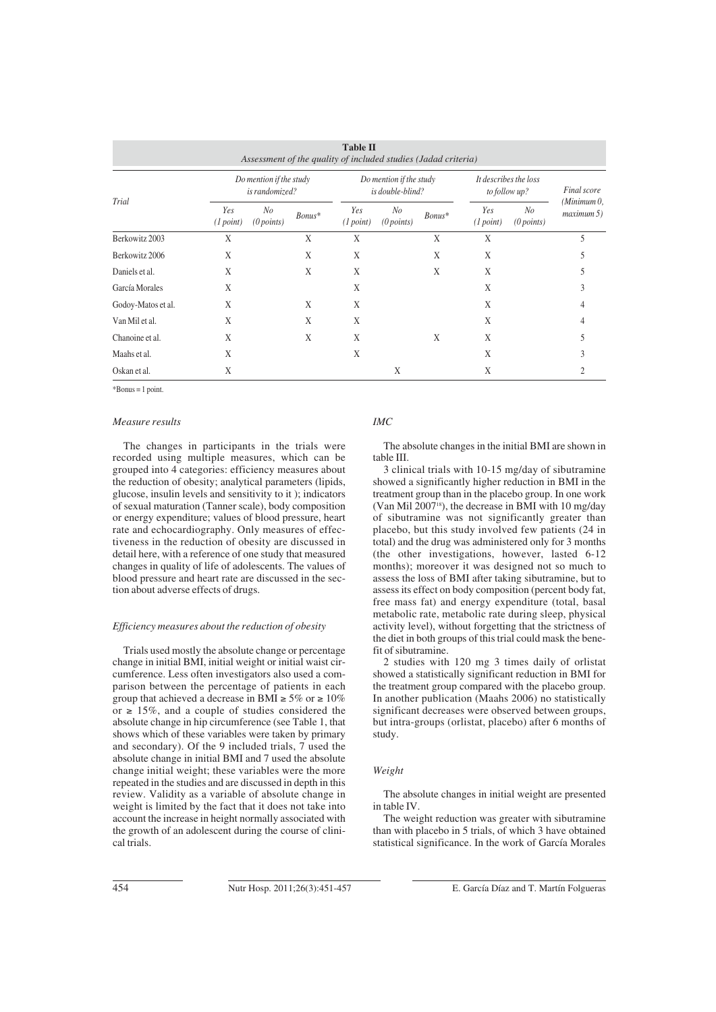| <b>Table II</b><br>Assessment of the quality of included studies (Jadad criteria) |                                           |                  |        |                                             |                  |          |                                        |                  |                           |
|-----------------------------------------------------------------------------------|-------------------------------------------|------------------|--------|---------------------------------------------|------------------|----------|----------------------------------------|------------------|---------------------------|
| Trial                                                                             | Do mention if the study<br>is randomized? |                  |        | Do mention if the study<br>is double-blind? |                  |          | It describes the loss<br>to follow up? |                  | Final score               |
|                                                                                   | Yes<br>(1 point)                          | No<br>(0 points) | Bonus* | Yes<br>(1 point)                            | No<br>(0 points) | $Bonus*$ | Yes<br>(1 point)                       | No<br>(0 points) | (Minimum 0,<br>maximum 5) |
| Berkowitz 2003                                                                    | X                                         |                  | X      | X                                           |                  | X        | X                                      |                  | 5                         |
| Berkowitz 2006                                                                    | X                                         |                  | X      | X                                           |                  | X        | X                                      |                  |                           |
| Daniels et al.                                                                    | X                                         |                  | X      | X                                           |                  | X        | X                                      |                  |                           |
| García Morales                                                                    | X                                         |                  |        | X                                           |                  |          | X                                      |                  | 3                         |
| Godoy-Matos et al.                                                                | X                                         |                  | X      | X                                           |                  |          | X                                      |                  |                           |
| Van Mil et al.                                                                    | X                                         |                  | X      | X                                           |                  |          | X                                      |                  | 4                         |
| Chanoine et al.                                                                   | X                                         |                  | X      | X                                           |                  | X        | X                                      |                  |                           |
| Maahs et al.                                                                      | X                                         |                  |        | X                                           |                  |          | X                                      |                  |                           |
| Oskan et al.                                                                      | X                                         |                  |        |                                             | X                |          | X                                      |                  | $\mathfrak{D}$            |

 $*$ Bonus = 1 point.

#### *Measure results*

The changes in participants in the trials were recorded using multiple measures, which can be grouped into 4 categories: efficiency measures about the reduction of obesity; analytical parameters (lipids, glucose, insulin levels and sensitivity to it ); indicators of sexual maturation (Tanner scale), body composition or energy expenditure; values of blood pressure, heart rate and echocardiography. Only measures of effectiveness in the reduction of obesity are discussed in detail here, with a reference of one study that measured changes in quality of life of adolescents. The values of blood pressure and heart rate are discussed in the section about adverse effects of drugs.

#### *Efficiency measures about the reduction of obesity*

Trials used mostly the absolute change or percentage change in initial BMI, initial weight or initial waist circumference. Less often investigators also used a comparison between the percentage of patients in each group that achieved a decrease in BMI  $\geq 5\%$  or  $\geq 10\%$ or  $\geq 15\%$ , and a couple of studies considered the absolute change in hip circumference (see Table 1, that shows which of these variables were taken by primary and secondary). Of the 9 included trials, 7 used the absolute change in initial BMI and 7 used the absolute change initial weight; these variables were the more repeated in the studies and are discussed in depth in this review. Validity as a variable of absolute change in weight is limited by the fact that it does not take into account the increase in height normally associated with the growth of an adolescent during the course of clinical trials.

#### *IMC*

The absolute changes in the initial BMI are shown in table III.

3 clinical trials with 10-15 mg/day of sibutramine showed a significantly higher reduction in BMI in the treatment group than in the placebo group. In one work (Van Mil  $2007^{18}$ ), the decrease in BMI with 10 mg/day of sibutramine was not significantly greater than placebo, but this study involved few patients (24 in total) and the drug was administered only for 3 months (the other investigations, however, lasted 6-12 months); moreover it was designed not so much to assess the loss of BMI after taking sibutramine, but to assess its effect on body composition (percent body fat, free mass fat) and energy expenditure (total, basal metabolic rate, metabolic rate during sleep, physical activity level), without forgetting that the strictness of the diet in both groups of this trial could mask the benefit of sibutramine.

2 studies with 120 mg 3 times daily of orlistat showed a statistically significant reduction in BMI for the treatment group compared with the placebo group. In another publication (Maahs 2006) no statistically significant decreases were observed between groups, but intra-groups (orlistat, placebo) after 6 months of study.

## *Weight*

The absolute changes in initial weight are presented in table IV.

The weight reduction was greater with sibutramine than with placebo in 5 trials, of which 3 have obtained statistical significance. In the work of García Morales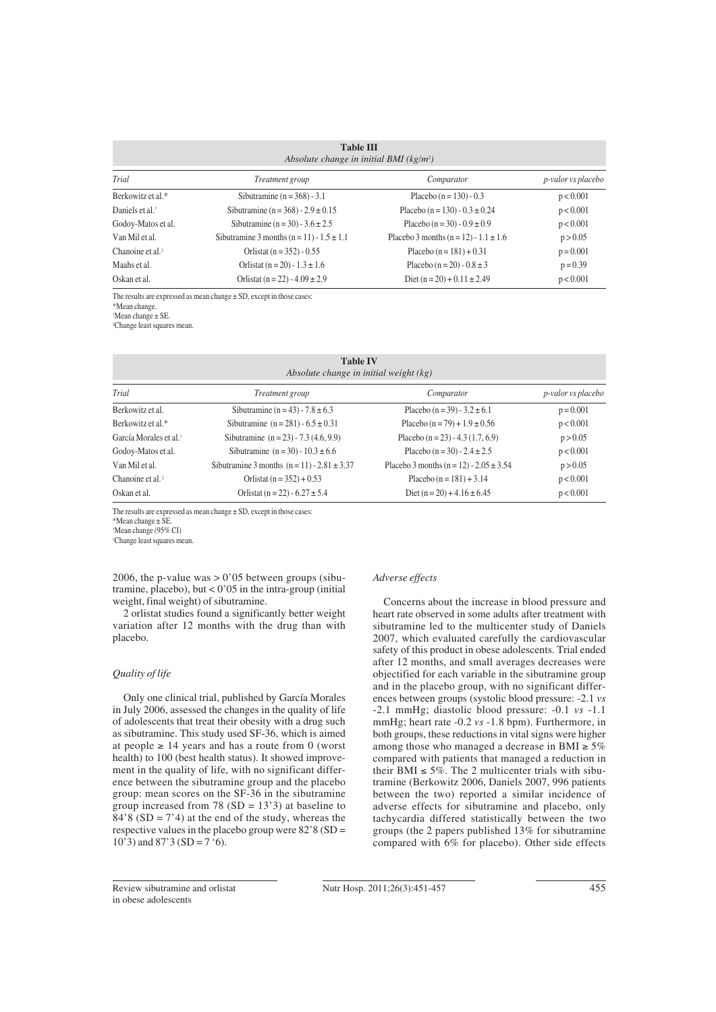| <b>Table III</b><br>Absolute change in initial BMI $(kg/m2)$ |                                               |                                           |                    |  |
|--------------------------------------------------------------|-----------------------------------------------|-------------------------------------------|--------------------|--|
| Trial                                                        | <i>Treatment group</i>                        | Comparator                                | p-valor vs placebo |  |
| Berkowitz et al.*                                            | Sibutramine ( $n = 368$ ) - 3.1               | Placebo $(n = 130) - 0.3$                 | p < 0.001          |  |
| Daniels et al. <sup>†</sup>                                  | Sibutramine ( $n = 368$ ) - 2.9 $\pm$ 0.15    | Placebo (n = 130) - $0.3 \pm 0.24$        | p < 0.001          |  |
| Godov-Matos et al.                                           | Sibutramine ( $n = 30$ ) - 3.6 $\pm$ 2.5      | Placebo ( $n = 30$ ) - $0.9 \pm 0.9$      | p < 0.001          |  |
| Van Mil et al.                                               | Sibutramine 3 months (n = 11) - $1.5 \pm 1.1$ | Placebo 3 months (n = 12) - $1.1 \pm 1.6$ | p > 0.05           |  |
| Chanoine et al <sup>:</sup>                                  | Orlistat ( $n = 352$ ) - 0.55                 | Placebo $(n = 181) + 0.31$                | $p = 0.001$        |  |
| Maahs et al.                                                 | Orlistat (n = 20) - $1.3 \pm 1.6$             | Placebo ( $n = 20$ ) - $0.8 \pm 3$        | $p = 0.39$         |  |
| Oskan et al.                                                 | Orlistat (n = 22) - $4.09 \pm 2.9$            | Diet $(n = 20) + 0.11 \pm 2.49$           | p < 0.001          |  |

The results are expressed as mean change  $\pm$  SD, except in those cases:

\*Mean change.

† Mean change ± SE.

| <sup>‡</sup> Change least squares mean. |  |  |  |
|-----------------------------------------|--|--|--|
|-----------------------------------------|--|--|--|

| <b>Table IV</b><br>Absolute change in initial weight (kg) |                                                 |                                             |                    |  |
|-----------------------------------------------------------|-------------------------------------------------|---------------------------------------------|--------------------|--|
| Trial                                                     | <i>Treatment group</i>                          | Comparator                                  | p-valor vs placebo |  |
| Berkowitz et al.                                          | Sibutramine ( $n = 43$ ) - 7.8 $\pm$ 6.3        | Placebo $(n = 39) - 3.2 \pm 6.1$            | $p = 0.001$        |  |
| Berkowitz et al.*                                         | Sibutramine $(n = 281) - 6.5 \pm 0.31$          | Placebo $(n = 79) + 1.9 \pm 0.56$           | p < 0.001          |  |
| García Morales et al. <sup>†</sup>                        | Sibutramine $(n = 23) - 7.3$ (4.6, 9.9)         | Placebo (n = 23) - 4.3 (1.7, 6.9)           | p > 0.05           |  |
| Godoy-Matos et al.                                        | Sibutramine $(n = 30) - 10.3 \pm 6.6$           | Placebo (n = $30$ ) - $2.4 \pm 2.5$         | p < 0.001          |  |
| Van Mil et al.                                            | Sibutramine 3 months $(n = 11) - 2.81 \pm 3.37$ | Placebo 3 months (n = 12) - $2.05 \pm 3.54$ | p > 0.05           |  |
| Chanoine et al. <sup>#</sup>                              | Orlistat ( $n = 352$ ) + 0.53                   | Placebo $(n = 181) + 3.14$                  | p < 0.001          |  |
| Oskan et al.                                              | Orlistat (n = 22) - $6.27 \pm 5.4$              | Diet $(n = 20) + 4.16 \pm 6.45$             | p < 0.001          |  |

The results are expressed as mean change  $\pm$  SD, except in those cases:

\*Mean change ± SE.

† Mean change (95% CI) ‡ Change least squares mean.

2006, the p-value was  $> 0.05$  between groups (sibutramine, placebo), but  $< 0.05$  in the intra-group (initial) weight, final weight) of sibutramine.

2 orlistat studies found a significantly better weight variation after 12 months with the drug than with placebo.

#### *Quality of life*

Only one clinical trial, published by García Morales in July 2006, assessed the changes in the quality of life of adolescents that treat their obesity with a drug such as sibutramine. This study used SF-36, which is aimed at people  $\geq 14$  years and has a route from 0 (worst health) to 100 (best health status). It showed improvement in the quality of life, with no significant difference between the sibutramine group and the placebo group: mean scores on the SF-36 in the sibutramine group increased from 78  $(SD = 13'3)$  at baseline to  $84'8$  (SD = 7'4) at the end of the study, whereas the respective values in the placebo group were  $82'8(SD =$  $10'3$ ) and  $87'3$  (SD = 7  $6'$ ).

## *Adverse effects*

Concerns about the increase in blood pressure and heart rate observed in some adults after treatment with sibutramine led to the multicenter study of Daniels 2007, which evaluated carefully the cardiovascular safety of this product in obese adolescents. Trial ended after 12 months, and small averages decreases were objectified for each variable in the sibutramine group and in the placebo group, with no significant differences between groups (systolic blood pressure: -2.1 *vs* -2.1 mmHg; diastolic blood pressure: -0.1 *vs* -1.1 mmHg; heart rate -0.2 *vs* -1.8 bpm). Furthermore, in both groups, these reductions in vital signs were higher among those who managed a decrease in BMI  $\geq 5\%$ compared with patients that managed a reduction in their BMI  $\leq$  5%. The 2 multicenter trials with sibutramine (Berkowitz 2006, Daniels 2007, 996 patients between the two) reported a similar incidence of adverse effects for sibutramine and placebo, only tachycardia differed statistically between the two groups (the 2 papers published 13% for sibutramine compared with 6% for placebo). Other side effects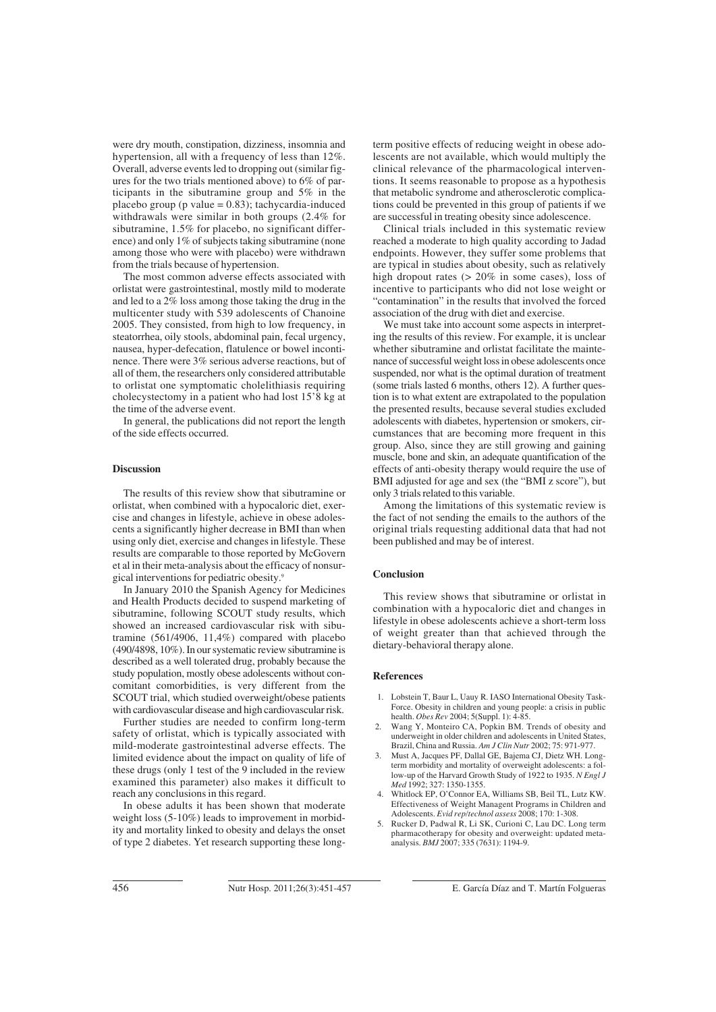were dry mouth, constipation, dizziness, insomnia and hypertension, all with a frequency of less than 12%. Overall, adverse events led to dropping out (similar figures for the two trials mentioned above) to 6% of participants in the sibutramine group and 5% in the placebo group (p value  $= 0.83$ ); tachycardia-induced withdrawals were similar in both groups (2.4% for sibutramine, 1.5% for placebo, no significant difference) and only 1% of subjects taking sibutramine (none among those who were with placebo) were withdrawn from the trials because of hypertension.

The most common adverse effects associated with orlistat were gastrointestinal, mostly mild to moderate and led to a 2% loss among those taking the drug in the multicenter study with 539 adolescents of Chanoine 2005. They consisted, from high to low frequency, in steatorrhea, oily stools, abdominal pain, fecal urgency, nausea, hyper-defecation, flatulence or bowel incontinence. There were 3% serious adverse reactions, but of all of them, the researchers only considered attributable to orlistat one symptomatic cholelithiasis requiring cholecystectomy in a patient who had lost 15'8 kg at the time of the adverse event.

In general, the publications did not report the length of the side effects occurred.

#### **Discussion**

The results of this review show that sibutramine or orlistat, when combined with a hypocaloric diet, exercise and changes in lifestyle, achieve in obese adolescents a significantly higher decrease in BMI than when using only diet, exercise and changes in lifestyle. These results are comparable to those reported by McGovern et al in their meta-analysis about the efficacy of nonsurgical interventions for pediatric obesity.<sup>9</sup>

In January 2010 the Spanish Agency for Medicines and Health Products decided to suspend marketing of sibutramine, following SCOUT study results, which showed an increased cardiovascular risk with sibutramine (561/4906, 11,4%) compared with placebo (490/4898, 10%). In our systematic review sibutramine is described as a well tolerated drug, probably because the study population, mostly obese adolescents without concomitant comorbidities, is very different from the SCOUT trial, which studied overweight/obese patients with cardiovascular disease and high cardiovascular risk.

Further studies are needed to confirm long-term safety of orlistat, which is typically associated with mild-moderate gastrointestinal adverse effects. The limited evidence about the impact on quality of life of these drugs (only 1 test of the 9 included in the review examined this parameter) also makes it difficult to reach any conclusions in this regard.

In obese adults it has been shown that moderate weight loss (5-10%) leads to improvement in morbidity and mortality linked to obesity and delays the onset of type 2 diabetes. Yet research supporting these longterm positive effects of reducing weight in obese adolescents are not available, which would multiply the clinical relevance of the pharmacological interventions. It seems reasonable to propose as a hypothesis that metabolic syndrome and atherosclerotic complications could be prevented in this group of patients if we are successful in treating obesity since adolescence.

Clinical trials included in this systematic review reached a moderate to high quality according to Jadad endpoints. However, they suffer some problems that are typical in studies about obesity, such as relatively high dropout rates (> 20% in some cases), loss of incentive to participants who did not lose weight or "contamination" in the results that involved the forced association of the drug with diet and exercise.

We must take into account some aspects in interpreting the results of this review. For example, it is unclear whether sibutramine and orlistat facilitate the maintenance of successful weight loss in obese adolescents once suspended, nor what is the optimal duration of treatment (some trials lasted 6 months, others 12). A further question is to what extent are extrapolated to the population the presented results, because several studies excluded adolescents with diabetes, hypertension or smokers, circumstances that are becoming more frequent in this group. Also, since they are still growing and gaining muscle, bone and skin, an adequate quantification of the effects of anti-obesity therapy would require the use of BMI adjusted for age and sex (the "BMI z score"), but only 3 trials related to this variable.

Among the limitations of this systematic review is the fact of not sending the emails to the authors of the original trials requesting additional data that had not been published and may be of interest.

#### **Conclusion**

This review shows that sibutramine or orlistat in combination with a hypocaloric diet and changes in lifestyle in obese adolescents achieve a short-term loss of weight greater than that achieved through the dietary-behavioral therapy alone.

#### **References**

- 1. Lobstein T, Baur L, Uauy R. IASO International Obesity Task-Force. Obesity in children and young people: a crisis in public health. *Obes Rev* 2004; 5(Suppl. 1): 4-85.
- Wang Y, Monteiro CA, Popkin BM. Trends of obesity and underweight in older children and adolescents in United States, Brazil, China and Russia. *Am J Clin Nutr* 2002; 75: 971-977.
- 3. Must A, Jacques PF, Dallal GE, Bajema CJ, Dietz WH. Longterm morbidity and mortality of overweight adolescents: a follow-up of the Harvard Growth Study of 1922 to 1935. *N Engl J Med* 1992; 327: 1350-1355.
- 4. Whitlock EP, O'Connor EA, Williams SB, Beil TL, Lutz KW. Effectiveness of Weight Managent Programs in Children and Adolescents. *Evid rep/technol assess* 2008; 170: 1-308.
- 5. Rucker D, Padwal R, Li SK, Curioni C, Lau DC. Long term pharmacotherapy for obesity and overweight: updated metaanalysis. *BMJ* 2007; 335 (7631): 1194-9.